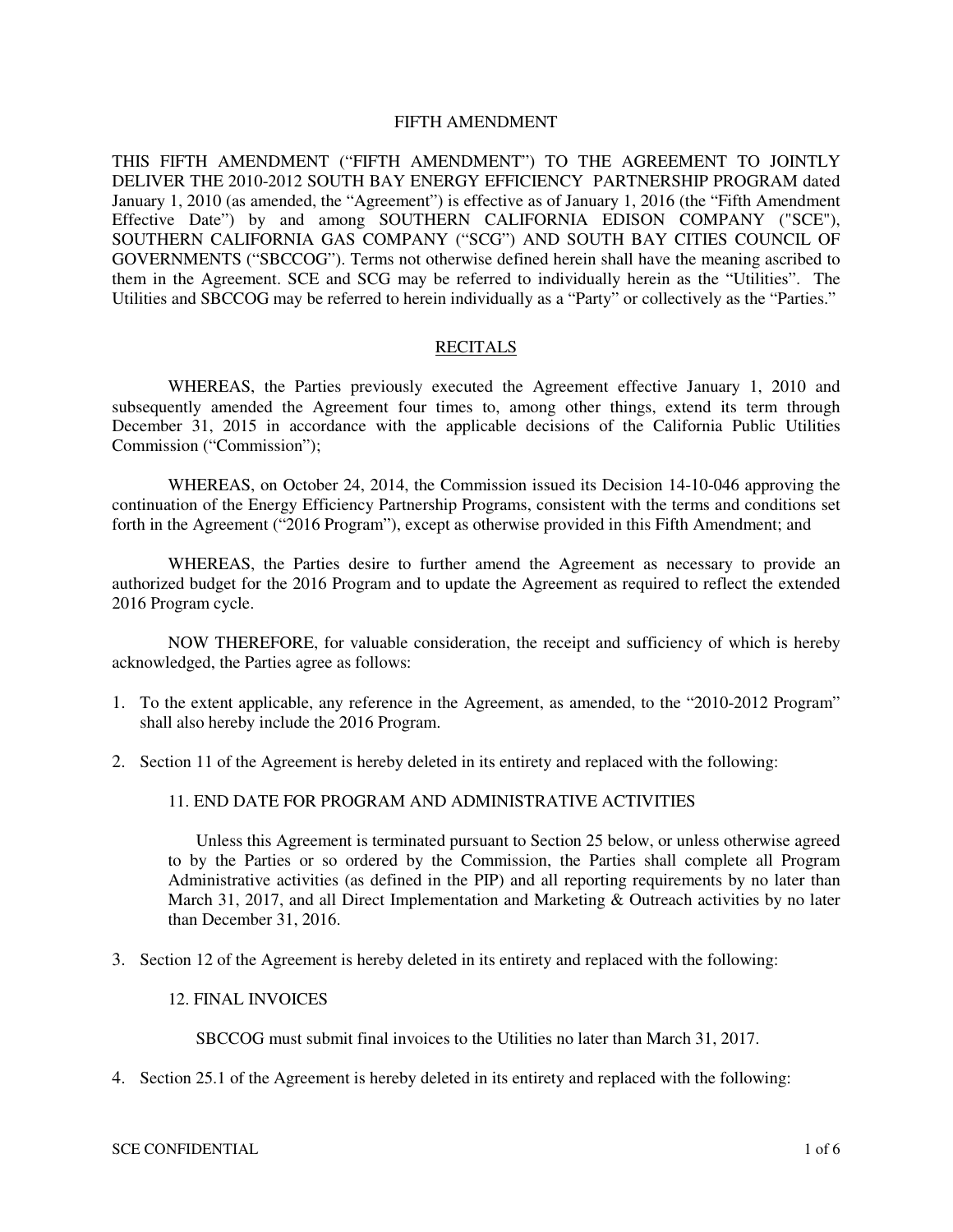#### FIFTH AMENDMENT

THIS FIFTH AMENDMENT ("FIFTH AMENDMENT") TO THE AGREEMENT TO JOINTLY DELIVER THE 2010-2012 SOUTH BAY ENERGY EFFICIENCY PARTNERSHIP PROGRAM dated January 1, 2010 (as amended, the "Agreement") is effective as of January 1, 2016 (the "Fifth Amendment Effective Date") by and among SOUTHERN CALIFORNIA EDISON COMPANY ("SCE"), SOUTHERN CALIFORNIA GAS COMPANY ("SCG") AND SOUTH BAY CITIES COUNCIL OF GOVERNMENTS ("SBCCOG"). Terms not otherwise defined herein shall have the meaning ascribed to them in the Agreement. SCE and SCG may be referred to individually herein as the "Utilities". The Utilities and SBCCOG may be referred to herein individually as a "Party" or collectively as the "Parties."

#### RECITALS

WHEREAS, the Parties previously executed the Agreement effective January 1, 2010 and subsequently amended the Agreement four times to, among other things, extend its term through December 31, 2015 in accordance with the applicable decisions of the California Public Utilities Commission ("Commission");

WHEREAS, on October 24, 2014, the Commission issued its Decision 14-10-046 approving the continuation of the Energy Efficiency Partnership Programs, consistent with the terms and conditions set forth in the Agreement ("2016 Program"), except as otherwise provided in this Fifth Amendment; and

WHEREAS, the Parties desire to further amend the Agreement as necessary to provide an authorized budget for the 2016 Program and to update the Agreement as required to reflect the extended 2016 Program cycle.

NOW THEREFORE, for valuable consideration, the receipt and sufficiency of which is hereby acknowledged, the Parties agree as follows:

- 1. To the extent applicable, any reference in the Agreement, as amended, to the "2010-2012 Program" shall also hereby include the 2016 Program.
- 2. Section 11 of the Agreement is hereby deleted in its entirety and replaced with the following:

#### 11. END DATE FOR PROGRAM AND ADMINISTRATIVE ACTIVITIES

Unless this Agreement is terminated pursuant to Section 25 below, or unless otherwise agreed to by the Parties or so ordered by the Commission, the Parties shall complete all Program Administrative activities (as defined in the PIP) and all reporting requirements by no later than March 31, 2017, and all Direct Implementation and Marketing & Outreach activities by no later than December 31, 2016.

3. Section 12 of the Agreement is hereby deleted in its entirety and replaced with the following:

#### 12. FINAL INVOICES

SBCCOG must submit final invoices to the Utilities no later than March 31, 2017.

4. Section 25.1 of the Agreement is hereby deleted in its entirety and replaced with the following: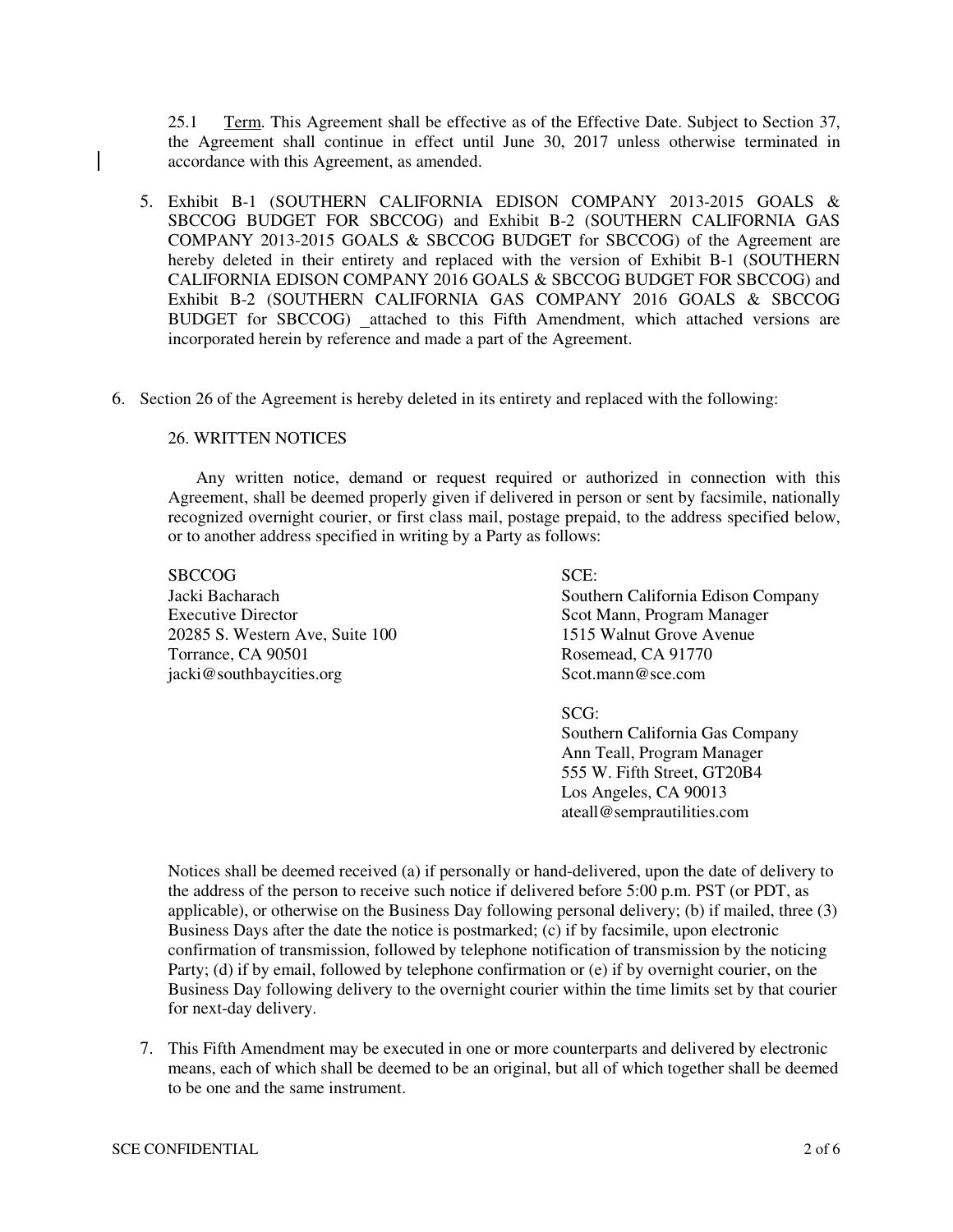25.1 Term. This Agreement shall be effective as of the Effective Date. Subject to Section 37, the Agreement shall continue in effect until June 30, 2017 unless otherwise terminated in accordance with this Agreement, as amended.

- 5. Exhibit B-1 (SOUTHERN CALIFORNIA EDISON COMPANY 2013-2015 GOALS & SBCCOG BUDGET FOR SBCCOG) and Exhibit B-2 (SOUTHERN CALIFORNIA GAS COMPANY 2013-2015 GOALS & SBCCOG BUDGET for SBCCOG) of the Agreement are hereby deleted in their entirety and replaced with the version of Exhibit B-1 (SOUTHERN CALIFORNIA EDISON COMPANY 2016 GOALS & SBCCOG BUDGET FOR SBCCOG) and Exhibit B-2 (SOUTHERN CALIFORNIA GAS COMPANY 2016 GOALS & SBCCOG BUDGET for SBCCOG) attached to this Fifth Amendment, which attached versions are incorporated herein by reference and made a part of the Agreement.
- 6. Section 26 of the Agreement is hereby deleted in its entirety and replaced with the following:

## 26. WRITTEN NOTICES

Any written notice, demand or request required or authorized in connection with this Agreement, shall be deemed properly given if delivered in person or sent by facsimile, nationally recognized overnight courier, or first class mail, postage prepaid, to the address specified below, or to another address specified in writing by a Party as follows:

SBCCOG Jacki Bacharach Executive Director 20285 S. Western Ave, Suite 100 Torrance, CA 90501 jacki@southbaycities.org

SCE: Southern California Edison Company Scot Mann, Program Manager 1515 Walnut Grove Avenue Rosemead, CA 91770 Scot.mann@sce.com

SCG:

Southern California Gas Company Ann Teall, Program Manager 555 W. Fifth Street, GT20B4 Los Angeles, CA 90013 ateall@semprautilities.com

Notices shall be deemed received (a) if personally or hand-delivered, upon the date of delivery to the address of the person to receive such notice if delivered before 5:00 p.m. PST (or PDT, as applicable), or otherwise on the Business Day following personal delivery; (b) if mailed, three (3) Business Days after the date the notice is postmarked; (c) if by facsimile, upon electronic confirmation of transmission, followed by telephone notification of transmission by the noticing Party; (d) if by email, followed by telephone confirmation or (e) if by overnight courier, on the Business Day following delivery to the overnight courier within the time limits set by that courier for next-day delivery.

7. This Fifth Amendment may be executed in one or more counterparts and delivered by electronic means, each of which shall be deemed to be an original, but all of which together shall be deemed to be one and the same instrument.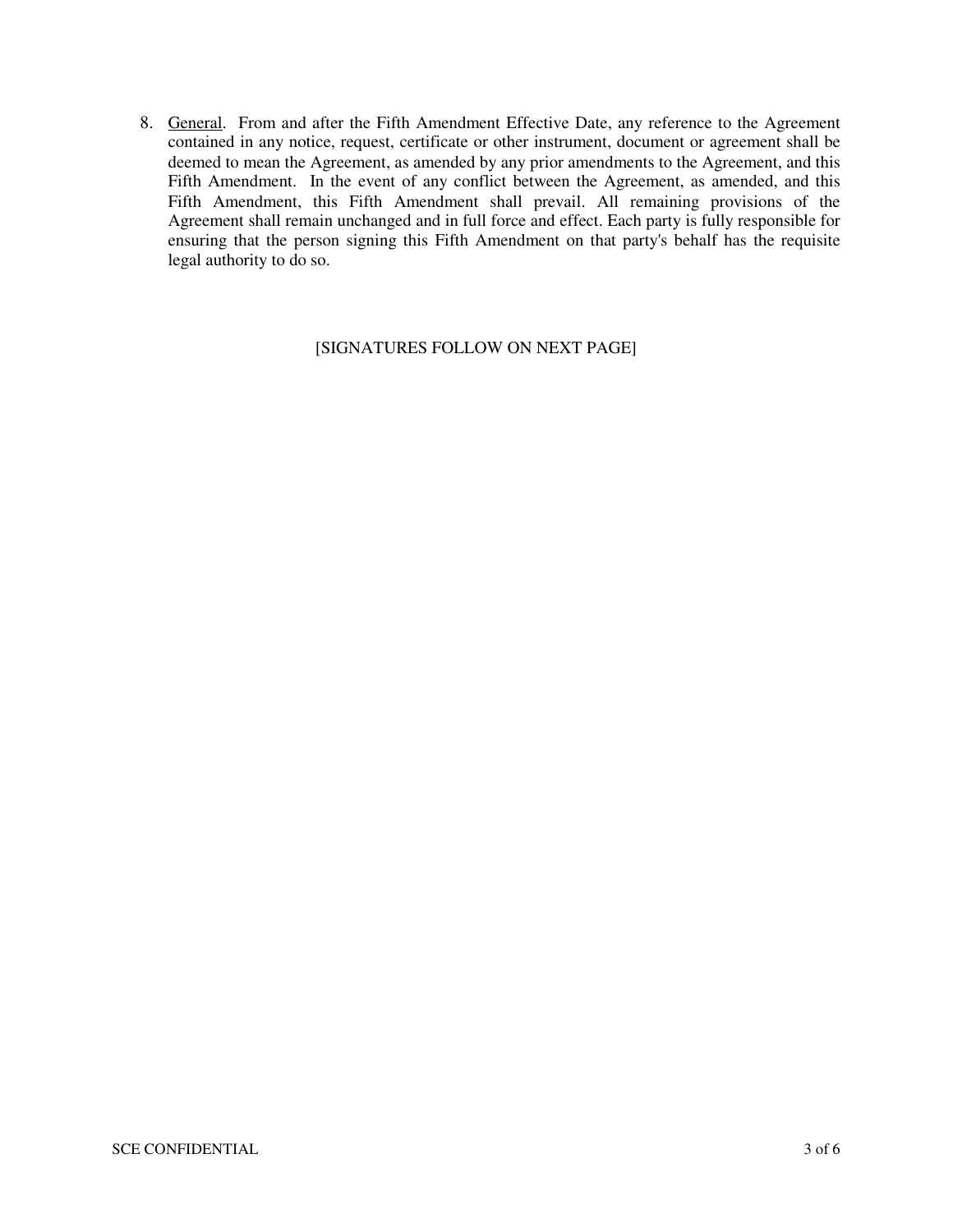8. General. From and after the Fifth Amendment Effective Date, any reference to the Agreement contained in any notice, request, certificate or other instrument, document or agreement shall be deemed to mean the Agreement, as amended by any prior amendments to the Agreement, and this Fifth Amendment. In the event of any conflict between the Agreement, as amended, and this Fifth Amendment, this Fifth Amendment shall prevail. All remaining provisions of the Agreement shall remain unchanged and in full force and effect. Each party is fully responsible for ensuring that the person signing this Fifth Amendment on that party's behalf has the requisite legal authority to do so.

# [SIGNATURES FOLLOW ON NEXT PAGE]